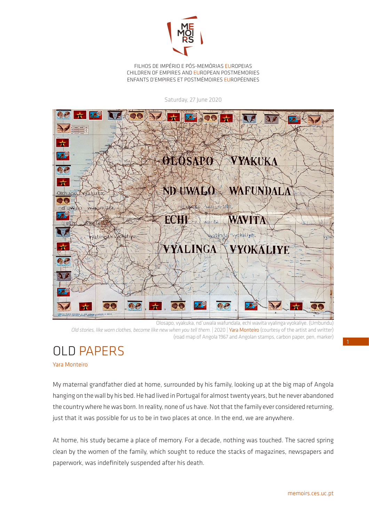

FILHOS DE IMPÉRIO E PÓS-MEMÓRIAS EUROPEIAS CHILDREN OF EMPIRES AND EUROPEAN POSTMEMORIES ENFANTS D'EMPIRES ET POSTMÉMOIRES EUROPÉENNES

Saturday, 27 June 2020



Olosapo, vyakuka, nd´uwala wafundala, echi wavita vyalinga vyokaliye. (Umbundu) *Old stories, like worn clothes, become like new when you tell them.* | 2020 | Yara Monteiro (courtesy of the artist and writter) (road map of Angola 1967 and Angolan stamps, carbon paper, pen, marker)

## OLD PAPERS

Yara Monteiro

My maternal grandfather died at home, surrounded by his family, looking up at the big map of Angola hanging on the wall by his bed. He had lived in Portugal for almost twenty years, but he never abandoned the country where he was born. In reality, none of us have. Not that the family ever considered returning, just that it was possible for us to be in two places at once. In the end, we are anywhere.

At home, his study became a place of memory. For a decade, nothing was touched. The sacred spring clean by the women of the family, which sought to reduce the stacks of magazines, newspapers and paperwork, was indefinitely suspended after his death.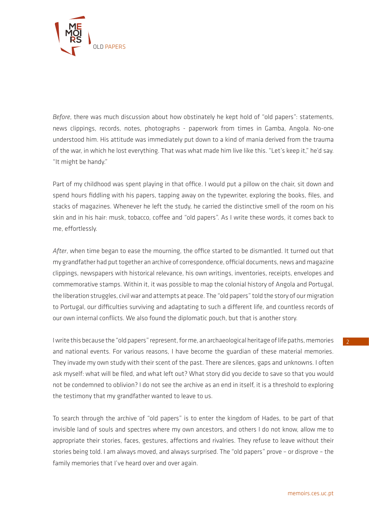

*Before*, there was much discussion about how obstinately he kept hold of "old papers": statements, news clippings, records, notes, photographs - paperwork from times in Gamba, Angola. No-one understood him. His attitude was immediately put down to a kind of mania derived from the trauma of the war, in which he lost everything. That was what made him live like this. "Let's keep it," he'd say. "It might be handy."

Part of my childhood was spent playing in that office. I would put a pillow on the chair, sit down and spend hours fiddling with his papers, tapping away on the typewriter, exploring the books, files, and stacks of magazines. Whenever he left the study, he carried the distinctive smell of the room on his skin and in his hair: musk, tobacco, coffee and "old papers". As I write these words, it comes back to me, effortlessly.

*After*, when time began to ease the mourning, the office started to be dismantled. It turned out that my grandfather had put together an archive of correspondence, official documents, news and magazine clippings, newspapers with historical relevance, his own writings, inventories, receipts, envelopes and commemorative stamps. Within it, it was possible to map the colonial history of Angola and Portugal, the liberation struggles, civil war and attempts at peace. The "old papers" told the story of our migration to Portugal, our difficulties surviving and adaptating to such a different life, and countless records of our own internal conflicts. We also found the diplomatic pouch, but that is another story.

I write this because the "old papers" represent, for me, an archaeological heritage of life paths, memories and national events. For various reasons, I have become the guardian of these material memories. They invade my own study with their scent of the past. There are silences, gaps and unknowns. I often ask myself: what will be filed, and what left out? What story did you decide to save so that you would not be condemned to oblivion? I do not see the archive as an end in itself, it is a threshold to exploring the testimony that my grandfather wanted to leave to us.

To search through the archive of "old papers" is to enter the kingdom of Hades, to be part of that invisible land of souls and spectres where my own ancestors, and others I do not know, allow me to appropriate their stories, faces, gestures, affections and rivalries. They refuse to leave without their stories being told. I am always moved, and always surprised. The "old papers" prove – or disprove – the family memories that I've heard over and over again.